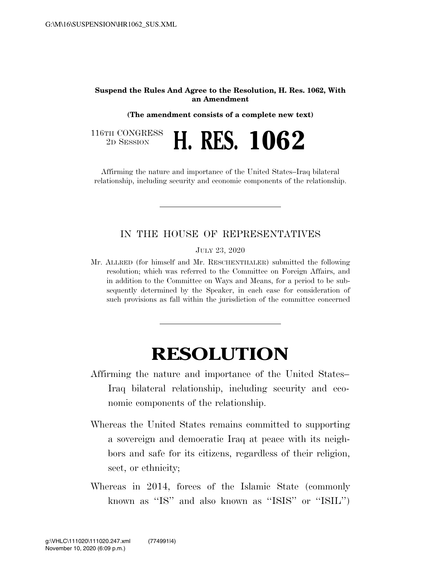## **Suspend the Rules And Agree to the Resolution, H. Res. 1062, With an Amendment**

**(The amendment consists of a complete new text)** 

116TH CONGRESS<br>2D SESSION 2D SESSION **H. RES. 1062** 

Affirming the nature and importance of the United States–Iraq bilateral relationship, including security and economic components of the relationship.

## IN THE HOUSE OF REPRESENTATIVES

JULY 23, 2020

Mr. ALLRED (for himself and Mr. RESCHENTHALER) submitted the following resolution; which was referred to the Committee on Foreign Affairs, and in addition to the Committee on Ways and Means, for a period to be subsequently determined by the Speaker, in each case for consideration of such provisions as fall within the jurisdiction of the committee concerned

## **RESOLUTION**

- Affirming the nature and importance of the United States– Iraq bilateral relationship, including security and economic components of the relationship.
- Whereas the United States remains committed to supporting a sovereign and democratic Iraq at peace with its neighbors and safe for its citizens, regardless of their religion, sect, or ethnicity;
- Whereas in 2014, forces of the Islamic State (commonly known as ''IS'' and also known as ''ISIS'' or ''ISIL'')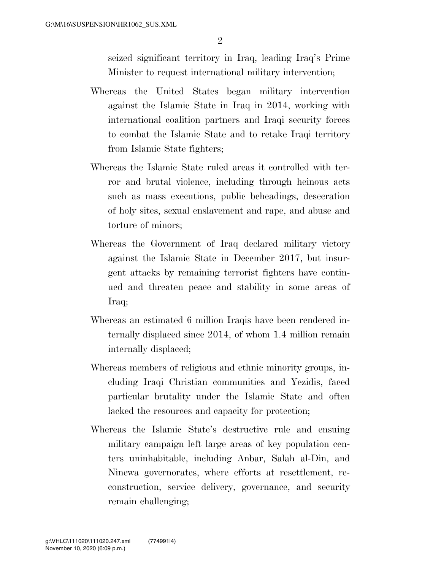seized significant territory in Iraq, leading Iraq's Prime Minister to request international military intervention;

- Whereas the United States began military intervention against the Islamic State in Iraq in 2014, working with international coalition partners and Iraqi security forces to combat the Islamic State and to retake Iraqi territory from Islamic State fighters;
- Whereas the Islamic State ruled areas it controlled with terror and brutal violence, including through heinous acts such as mass executions, public beheadings, desecration of holy sites, sexual enslavement and rape, and abuse and torture of minors;
- Whereas the Government of Iraq declared military victory against the Islamic State in December 2017, but insurgent attacks by remaining terrorist fighters have continued and threaten peace and stability in some areas of Iraq;
- Whereas an estimated 6 million Iraqis have been rendered internally displaced since 2014, of whom 1.4 million remain internally displaced;
- Whereas members of religious and ethnic minority groups, including Iraqi Christian communities and Yezidis, faced particular brutality under the Islamic State and often lacked the resources and capacity for protection;
- Whereas the Islamic State's destructive rule and ensuing military campaign left large areas of key population centers uninhabitable, including Anbar, Salah al-Din, and Ninewa governorates, where efforts at resettlement, reconstruction, service delivery, governance, and security remain challenging;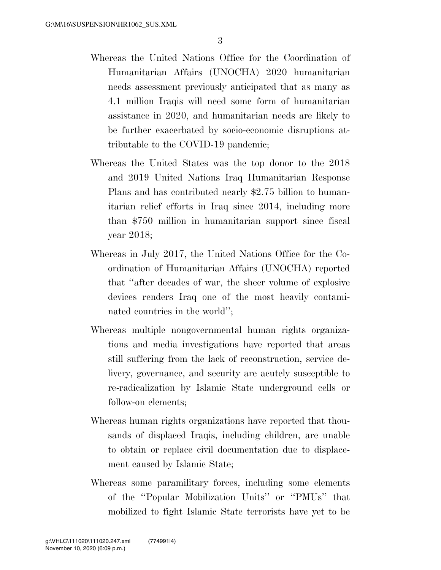- Whereas the United Nations Office for the Coordination of Humanitarian Affairs (UNOCHA) 2020 humanitarian needs assessment previously anticipated that as many as 4.1 million Iraqis will need some form of humanitarian assistance in 2020, and humanitarian needs are likely to be further exacerbated by socio-economic disruptions attributable to the COVID-19 pandemic;
- Whereas the United States was the top donor to the 2018 and 2019 United Nations Iraq Humanitarian Response Plans and has contributed nearly \$2.75 billion to humanitarian relief efforts in Iraq since 2014, including more than \$750 million in humanitarian support since fiscal year 2018;
- Whereas in July 2017, the United Nations Office for the Coordination of Humanitarian Affairs (UNOCHA) reported that ''after decades of war, the sheer volume of explosive devices renders Iraq one of the most heavily contaminated countries in the world'';
- Whereas multiple nongovernmental human rights organizations and media investigations have reported that areas still suffering from the lack of reconstruction, service delivery, governance, and security are acutely susceptible to re-radicalization by Islamic State underground cells or follow-on elements;
- Whereas human rights organizations have reported that thousands of displaced Iraqis, including children, are unable to obtain or replace civil documentation due to displacement caused by Islamic State;
- Whereas some paramilitary forces, including some elements of the ''Popular Mobilization Units'' or ''PMUs'' that mobilized to fight Islamic State terrorists have yet to be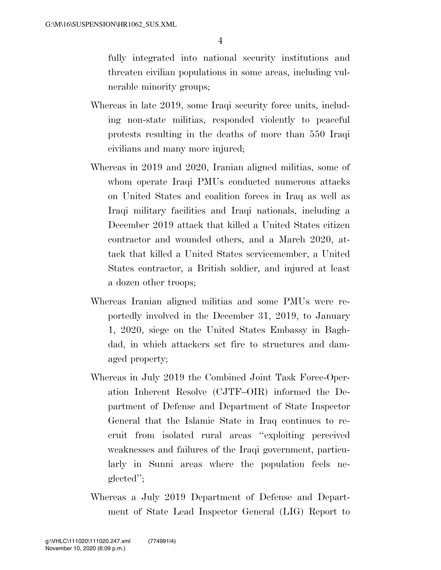fully integrated into national security institutions and threaten civilian populations in some areas, including vulnerable minority groups;

- Whereas in late 2019, some Iraqi security force units, including non-state militias, responded violently to peaceful protests resulting in the deaths of more than 550 Iraqi civilians and many more injured;
- Whereas in 2019 and 2020, Iranian aligned militias, some of whom operate Iraqi PMUs conducted numerous attacks on United States and coalition forces in Iraq as well as Iraqi military facilities and Iraqi nationals, including a December 2019 attack that killed a United States citizen contractor and wounded others, and a March 2020, attack that killed a United States servicemember, a United States contractor, a British soldier, and injured at least a dozen other troops;
- Whereas Iranian aligned militias and some PMUs were reportedly involved in the December 31, 2019, to January 1, 2020, siege on the United States Embassy in Baghdad, in which attackers set fire to structures and damaged property;
- Whereas in July 2019 the Combined Joint Task Force-Operation Inherent Resolve (CJTF–OIR) informed the Department of Defense and Department of State Inspector General that the Islamic State in Iraq continues to recruit from isolated rural areas ''exploiting perceived weaknesses and failures of the Iraqi government, particularly in Sunni areas where the population feels neglected'';
- Whereas a July 2019 Department of Defense and Department of State Lead Inspector General (LIG) Report to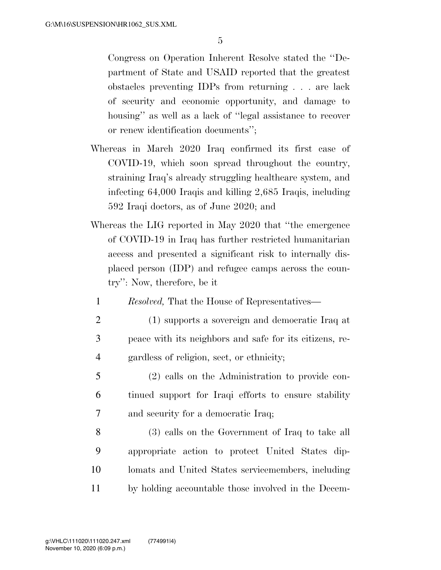Congress on Operation Inherent Resolve stated the ''Department of State and USAID reported that the greatest obstacles preventing IDPs from returning . . . are lack of security and economic opportunity, and damage to housing" as well as a lack of "legal assistance to recover or renew identification documents'';

- Whereas in March 2020 Iraq confirmed its first case of COVID-19, which soon spread throughout the country, straining Iraq's already struggling healthcare system, and infecting 64,000 Iraqis and killing 2,685 Iraqis, including 592 Iraqi doctors, as of June 2020; and
- Whereas the LIG reported in May 2020 that ''the emergence of COVID-19 in Iraq has further restricted humanitarian access and presented a significant risk to internally displaced person (IDP) and refugee camps across the country'': Now, therefore, be it

1 *Resolved,* That the House of Representatives—

- 2 (1) supports a sovereign and democratic Iraq at 3 peace with its neighbors and safe for its citizens, re-4 gardless of religion, sect, or ethnicity;
- 5 (2) calls on the Administration to provide con-6 tinued support for Iraqi efforts to ensure stability 7 and security for a democratic Iraq;
- 8 (3) calls on the Government of Iraq to take all 9 appropriate action to protect United States dip-10 lomats and United States servicemembers, including 11 by holding accountable those involved in the Decem-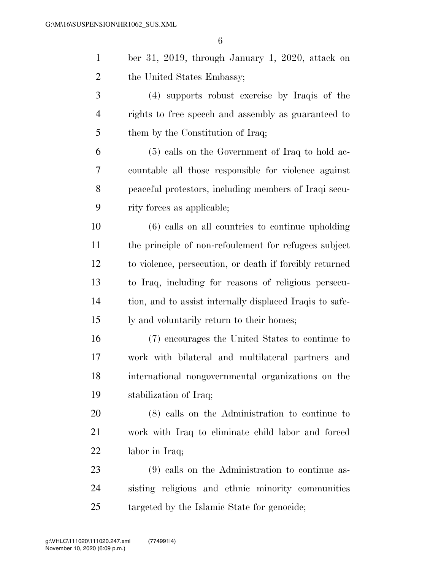| $\mathbf{1}$   | ber 31, 2019, through January 1, 2020, attack on         |
|----------------|----------------------------------------------------------|
| $\overline{2}$ | the United States Embassy;                               |
| 3              | (4) supports robust exercise by Iraqis of the            |
| $\overline{4}$ | rights to free speech and assembly as guaranteed to      |
| 5              | them by the Constitution of Iraq;                        |
| 6              | $(5)$ calls on the Government of Iraq to hold ac-        |
| 7              | countable all those responsible for violence against     |
| 8              | peaceful protestors, including members of Iraqi secu-    |
| 9              | rity forces as applicable;                               |
| 10             | $(6)$ calls on all countries to continue upholding       |
| 11             | the principle of non-refoulement for refugees subject    |
| 12             | to violence, persecution, or death if forcibly returned  |
| 13             | to Iraq, including for reasons of religious persecu-     |
| 14             | tion, and to assist internally displaced Iraqis to safe- |
| 15             | ly and voluntarily return to their homes;                |
| 16             | (7) encourages the United States to continue to          |
| 17             | work with bilateral and multilateral partners and        |
| 18             | international nongovernmental organizations on the       |
| 19             | stabilization of Iraq;                                   |
| 20             | $(8)$ calls on the Administration to continue to         |
| 21             | work with Iraq to eliminate child labor and forced       |
| 22             | labor in Iraq;                                           |
| 23             | (9) calls on the Administration to continue as-          |
| 24             | sisting religious and ethnic minority communities        |
| 25             | targeted by the Islamic State for genocide;              |